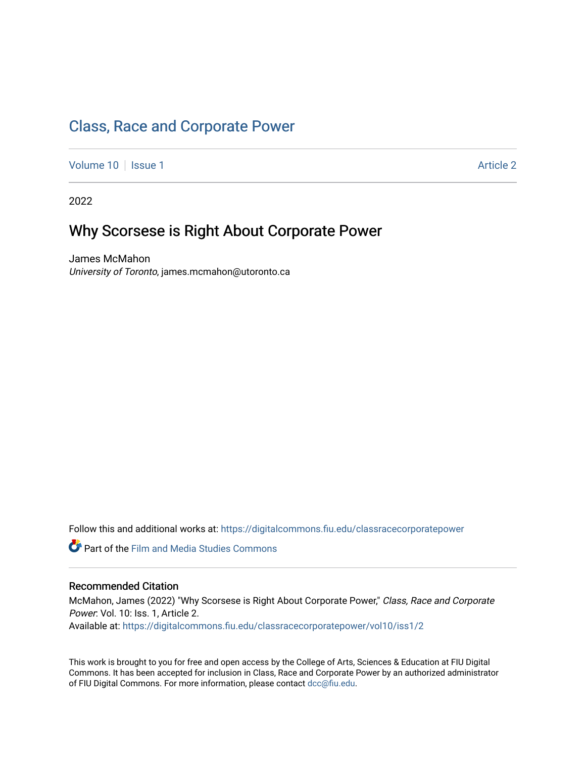# [Class, Race and Corporate Power](https://digitalcommons.fiu.edu/classracecorporatepower)

[Volume 10](https://digitalcommons.fiu.edu/classracecorporatepower/vol10) | [Issue 1](https://digitalcommons.fiu.edu/classracecorporatepower/vol10/iss1) Article 2

2022

# Why Scorsese is Right About Corporate Power

James McMahon University of Toronto, james.mcmahon@utoronto.ca

Follow this and additional works at: [https://digitalcommons.fiu.edu/classracecorporatepower](https://digitalcommons.fiu.edu/classracecorporatepower?utm_source=digitalcommons.fiu.edu%2Fclassracecorporatepower%2Fvol10%2Fiss1%2F2&utm_medium=PDF&utm_campaign=PDFCoverPages)

**C** Part of the Film and Media Studies Commons

#### Recommended Citation

McMahon, James (2022) "Why Scorsese is Right About Corporate Power," Class, Race and Corporate Power: Vol. 10: Iss. 1, Article 2. Available at: [https://digitalcommons.fiu.edu/classracecorporatepower/vol10/iss1/2](https://digitalcommons.fiu.edu/classracecorporatepower/vol10/iss1/2?utm_source=digitalcommons.fiu.edu%2Fclassracecorporatepower%2Fvol10%2Fiss1%2F2&utm_medium=PDF&utm_campaign=PDFCoverPages) 

This work is brought to you for free and open access by the College of Arts, Sciences & Education at FIU Digital Commons. It has been accepted for inclusion in Class, Race and Corporate Power by an authorized administrator of FIU Digital Commons. For more information, please contact [dcc@fiu.edu](mailto:dcc@fiu.edu).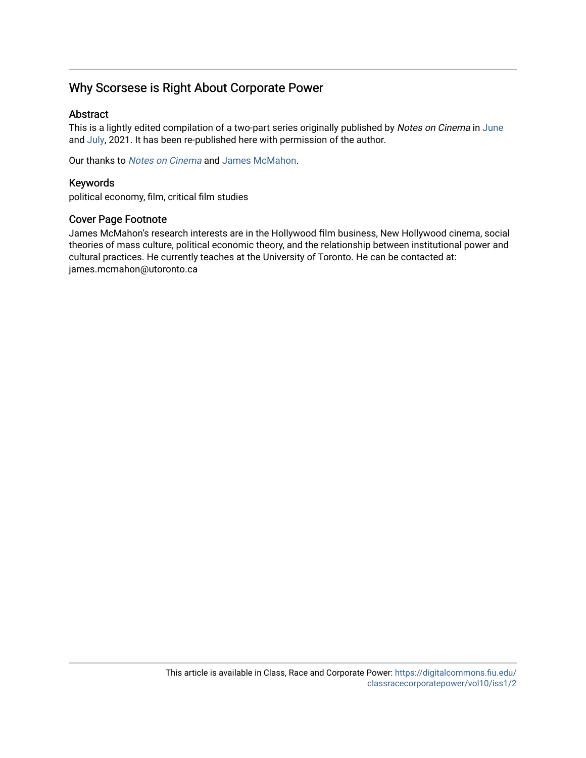# Why Scorsese is Right About Corporate Power

#### Abstract

This is a lightly edited compilation of a two-part series originally published by Notes on Cinema in [June](https://notesoncinema.com/2021/06/18/why-scorcese-is-right-about-corporate-power-part-1/) and [July](https://notesoncinema.com/2021/07/12/why-scorcese-is-right-about-corporate-power-part-2/), 2021. It has been re-published here with permission of the author.

Our thanks to [Notes on Cinema](https://notesoncinema.com/) and [James McMahon.](https://notesoncinema.com/about/)

#### Keywords

political economy, film, critical film studies

#### Cover Page Footnote

James McMahon's research interests are in the Hollywood film business, New Hollywood cinema, social theories of mass culture, political economic theory, and the relationship between institutional power and cultural practices. He currently teaches at the University of Toronto. He can be contacted at: james.mcmahon@utoronto.ca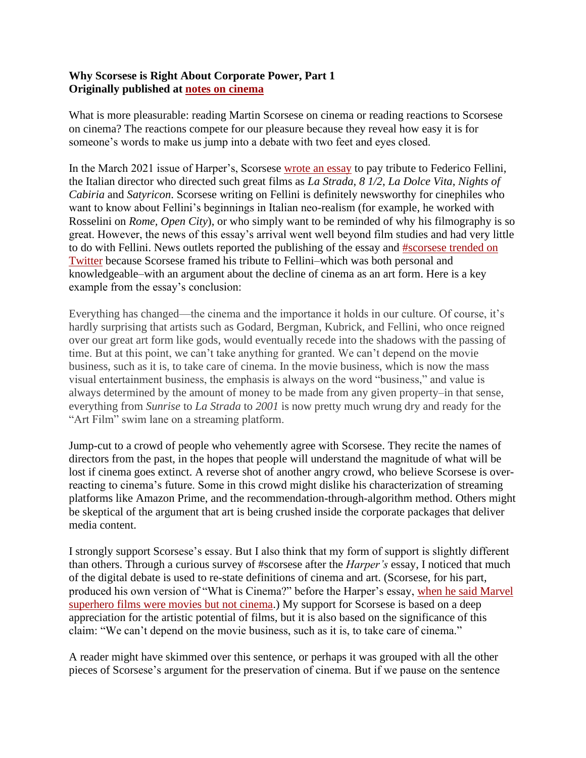### **Why Scorsese is Right About Corporate Power, Part 1 Originally published at [notes on cinema](https://notesoncinema.com/2021/06/18/why-scorcese-is-right-about-corporate-power-part-1/)**

What is more pleasurable: reading Martin Scorsese on cinema or reading reactions to Scorsese on cinema? The reactions compete for our pleasure because they reveal how easy it is for someone's words to make us jump into a debate with two feet and eyes closed.

In the March 2021 issue of Harper's, Scorsese [wrote an essay](https://harpers.org/archive/2021/03/il-maestro-federico-fellini-martin-scorsese/) to pay tribute to Federico Fellini, the Italian director who directed such great films as *La Strada*, *8 1/2*, *La Dolce Vita*, *Nights of Cabiria* and *Satyricon*. Scorsese writing on Fellini is definitely newsworthy for cinephiles who want to know about Fellini's beginnings in Italian neo-realism (for example, he worked with Rosselini on *Rome, Open City*), or who simply want to be reminded of why his filmography is so great. However, the news of this essay's arrival went well beyond film studies and had very little to do with Fellini. News outlets reported the publishing of the essay and [#scorsese trended on](https://twitter.com/search?q=%23scorcese)  [Twitter](https://twitter.com/search?q=%23scorcese) because Scorsese framed his tribute to Fellini–which was both personal and knowledgeable–with an argument about the decline of cinema as an art form. Here is a key example from the essay's conclusion:

Everything has changed—the cinema and the importance it holds in our culture. Of course, it's hardly surprising that artists such as Godard, Bergman, Kubrick, and Fellini, who once reigned over our great art form like gods, would eventually recede into the shadows with the passing of time. But at this point, we can't take anything for granted. We can't depend on the movie business, such as it is, to take care of cinema. In the movie business, which is now the mass visual entertainment business, the emphasis is always on the word "business," and value is always determined by the amount of money to be made from any given property–in that sense, everything from *Sunrise* to *La Strada* to *2001* is now pretty much wrung dry and ready for the "Art Film" swim lane on a streaming platform.

Jump-cut to a crowd of people who vehemently agree with Scorsese. They recite the names of directors from the past, in the hopes that people will understand the magnitude of what will be lost if cinema goes extinct. A reverse shot of another angry crowd, who believe Scorsese is overreacting to cinema's future. Some in this crowd might dislike his characterization of streaming platforms like Amazon Prime, and the recommendation-through-algorithm method. Others might be skeptical of the argument that art is being crushed inside the corporate packages that deliver media content.

I strongly support Scorsese's essay. But I also think that my form of support is slightly different than others. Through a curious survey of #scorsese after the *Harper's* essay, I noticed that much of the digital debate is used to re-state definitions of cinema and art. (Scorsese, for his part, produced his own version of "What is Cinema?" before the Harper's essay, [when he said Marvel](https://www.theguardian.com/film/2019/oct/04/martin-scorsese-says-marvel-movies-are-not-cinema)  [superhero films were movies but not cinema.](https://www.theguardian.com/film/2019/oct/04/martin-scorsese-says-marvel-movies-are-not-cinema)) My support for Scorsese is based on a deep appreciation for the artistic potential of films, but it is also based on the significance of this claim: "We can't depend on the movie business, such as it is, to take care of cinema."

A reader might have skimmed over this sentence, or perhaps it was grouped with all the other pieces of Scorsese's argument for the preservation of cinema. But if we pause on the sentence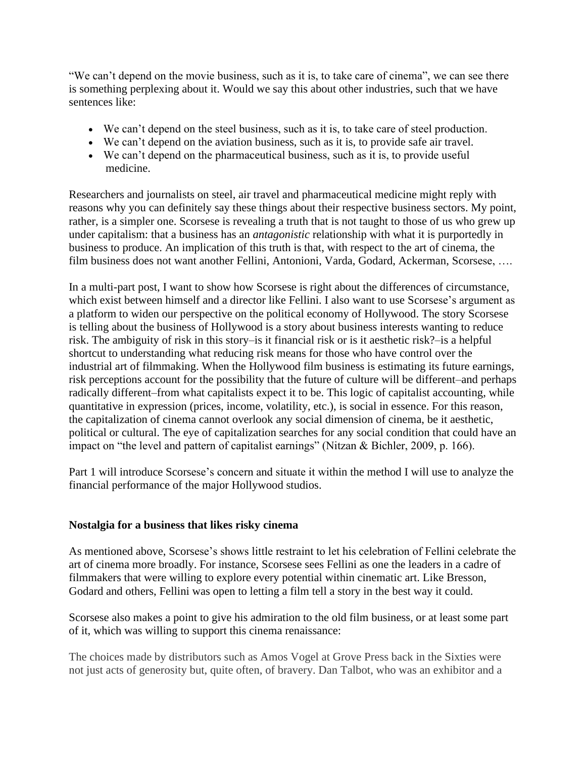"We can't depend on the movie business, such as it is, to take care of cinema", we can see there is something perplexing about it. Would we say this about other industries, such that we have sentences like:

- We can't depend on the steel business, such as it is, to take care of steel production.
- We can't depend on the aviation business, such as it is, to provide safe air travel.
- We can't depend on the pharmaceutical business, such as it is, to provide useful medicine.

Researchers and journalists on steel, air travel and pharmaceutical medicine might reply with reasons why you can definitely say these things about their respective business sectors. My point, rather, is a simpler one. Scorsese is revealing a truth that is not taught to those of us who grew up under capitalism: that a business has an *antagonistic* relationship with what it is purportedly in business to produce. An implication of this truth is that, with respect to the art of cinema, the film business does not want another Fellini, Antonioni, Varda, Godard, Ackerman, Scorsese, ….

In a multi-part post, I want to show how Scorsese is right about the differences of circumstance, which exist between himself and a director like Fellini. I also want to use Scorsese's argument as a platform to widen our perspective on the political economy of Hollywood. The story Scorsese is telling about the business of Hollywood is a story about business interests wanting to reduce risk. The ambiguity of risk in this story–is it financial risk or is it aesthetic risk?–is a helpful shortcut to understanding what reducing risk means for those who have control over the industrial art of filmmaking. When the Hollywood film business is estimating its future earnings, risk perceptions account for the possibility that the future of culture will be different–and perhaps radically different–from what capitalists expect it to be. This logic of capitalist accounting, while quantitative in expression (prices, income, volatility, etc.), is social in essence. For this reason, the capitalization of cinema cannot overlook any social dimension of cinema, be it aesthetic, political or cultural. The eye of capitalization searches for any social condition that could have an impact on "the level and pattern of capitalist earnings" (Nitzan & Bichler, 2009, p. 166).

Part 1 will introduce Scorsese's concern and situate it within the method I will use to analyze the financial performance of the major Hollywood studios.

## **Nostalgia for a business that likes risky cinema**

As mentioned above, Scorsese's shows little restraint to let his celebration of Fellini celebrate the art of cinema more broadly. For instance, Scorsese sees Fellini as one the leaders in a cadre of filmmakers that were willing to explore every potential within cinematic art. Like Bresson, Godard and others, Fellini was open to letting a film tell a story in the best way it could.

Scorsese also makes a point to give his admiration to the old film business, or at least some part of it, which was willing to support this cinema renaissance:

The choices made by distributors such as Amos Vogel at Grove Press back in the Sixties were not just acts of generosity but, quite often, of bravery. Dan Talbot, who was an exhibitor and a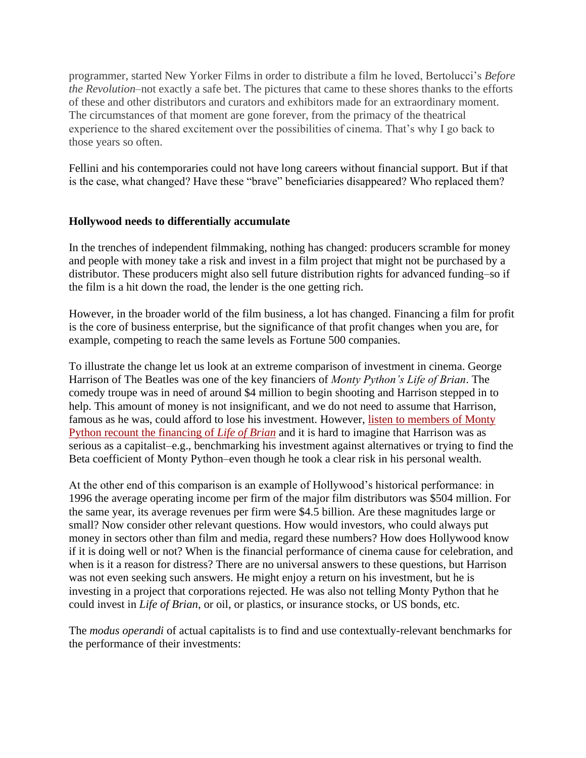programmer, started New Yorker Films in order to distribute a film he loved, Bertolucci's *Before the Revolution*–not exactly a safe bet. The pictures that came to these shores thanks to the efforts of these and other distributors and curators and exhibitors made for an extraordinary moment. The circumstances of that moment are gone forever, from the primacy of the theatrical experience to the shared excitement over the possibilities of cinema. That's why I go back to those years so often.

Fellini and his contemporaries could not have long careers without financial support. But if that is the case, what changed? Have these "brave" beneficiaries disappeared? Who replaced them?

#### **Hollywood needs to differentially accumulate**

In the trenches of independent filmmaking, nothing has changed: producers scramble for money and people with money take a risk and invest in a film project that might not be purchased by a distributor. These producers might also sell future distribution rights for advanced funding–so if the film is a hit down the road, the lender is the one getting rich.

However, in the broader world of the film business, a lot has changed. Financing a film for profit is the core of business enterprise, but the significance of that profit changes when you are, for example, competing to reach the same levels as Fortune 500 companies.

To illustrate the change let us look at an extreme comparison of investment in cinema. George Harrison of The Beatles was one of the key financiers of *Monty Python's Life of Brian*. The comedy troupe was in need of around \$4 million to begin shooting and Harrison stepped in to help. This amount of money is not insignificant, and we do not need to assume that Harrison, famous as he was, could afford to lose his investment. However, listen to [members of Monty](https://youtu.be/rDFdcfRAaCg)  [Python recount the financing of](https://youtu.be/rDFdcfRAaCg) *Life of Brian* and it is hard to imagine that Harrison was as serious as a capitalist–e.g., benchmarking his investment against alternatives or trying to find the Beta coefficient of Monty Python–even though he took a clear risk in his personal wealth.

At the other end of this comparison is an example of Hollywood's historical performance: in 1996 the average operating income per firm of the major film distributors was \$504 million. For the same year, its average revenues per firm were \$4.5 billion. Are these magnitudes large or small? Now consider other relevant questions. How would investors, who could always put money in sectors other than film and media, regard these numbers? How does Hollywood know if it is doing well or not? When is the financial performance of cinema cause for celebration, and when is it a reason for distress? There are no universal answers to these questions, but Harrison was not even seeking such answers. He might enjoy a return on his investment, but he is investing in a project that corporations rejected. He was also not telling Monty Python that he could invest in *Life of Brian*, or oil, or plastics, or insurance stocks, or US bonds, etc.

The *modus operandi* of actual capitalists is to find and use contextually-relevant benchmarks for the performance of their investments: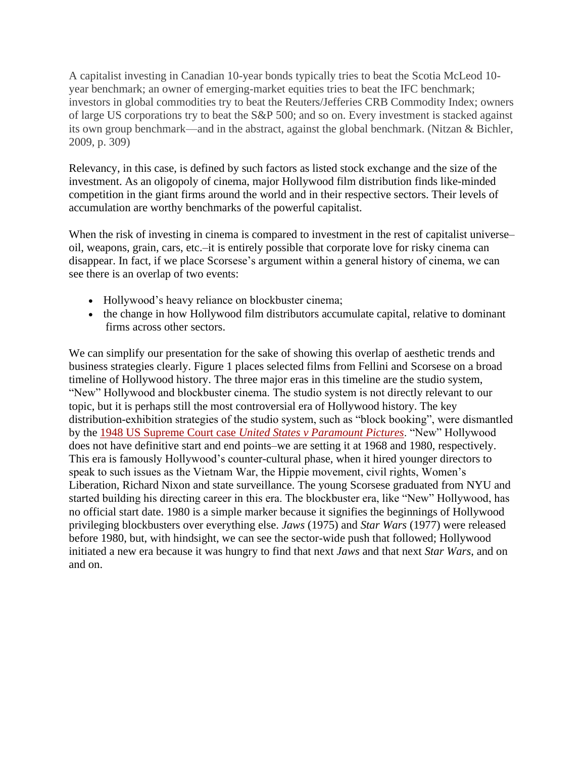A capitalist investing in Canadian 10-year bonds typically tries to beat the Scotia McLeod 10 year benchmark; an owner of emerging-market equities tries to beat the IFC benchmark; investors in global commodities try to beat the Reuters/Jefferies CRB Commodity Index; owners of large US corporations try to beat the S&P 500; and so on. Every investment is stacked against its own group benchmark—and in the abstract, against the global benchmark. (Nitzan & Bichler, 2009, p. 309)

Relevancy, in this case, is defined by such factors as listed stock exchange and the size of the investment. As an oligopoly of cinema, major Hollywood film distribution finds like-minded competition in the giant firms around the world and in their respective sectors. Their levels of accumulation are worthy benchmarks of the powerful capitalist.

When the risk of investing in cinema is compared to investment in the rest of capitalist universeoil, weapons, grain, cars, etc.–it is entirely possible that corporate love for risky cinema can disappear. In fact, if we place Scorsese's argument within a general history of cinema, we can see there is an overlap of two events:

- Hollywood's heavy reliance on blockbuster cinema;
- the change in how Hollywood film distributors accumulate capital, relative to dominant firms across other sectors.

We can simplify our presentation for the sake of showing this overlap of aesthetic trends and business strategies clearly. Figure 1 places selected films from Fellini and Scorsese on a broad timeline of Hollywood history. The three major eras in this timeline are the studio system, "New" Hollywood and blockbuster cinema. The studio system is not directly relevant to our topic, but it is perhaps still the most controversial era of Hollywood history. The key distribution-exhibition strategies of the studio system, such as "block booking", were dismantled by the 1948 US Supreme Court case *[United States v Paramount Pictures](https://supreme.justia.com/cases/federal/us/334/131/)*. "New" Hollywood does not have definitive start and end points–we are setting it at 1968 and 1980, respectively. This era is famously Hollywood's counter-cultural phase, when it hired younger directors to speak to such issues as the Vietnam War, the Hippie movement, civil rights, Women's Liberation, Richard Nixon and state surveillance. The young Scorsese graduated from NYU and started building his directing career in this era. The blockbuster era, like "New" Hollywood, has no official start date. 1980 is a simple marker because it signifies the beginnings of Hollywood privileging blockbusters over everything else. *Jaws* (1975) and *Star Wars* (1977) were released before 1980, but, with hindsight, we can see the sector-wide push that followed; Hollywood initiated a new era because it was hungry to find that next *Jaws* and that next *Star Wars*, and on and on.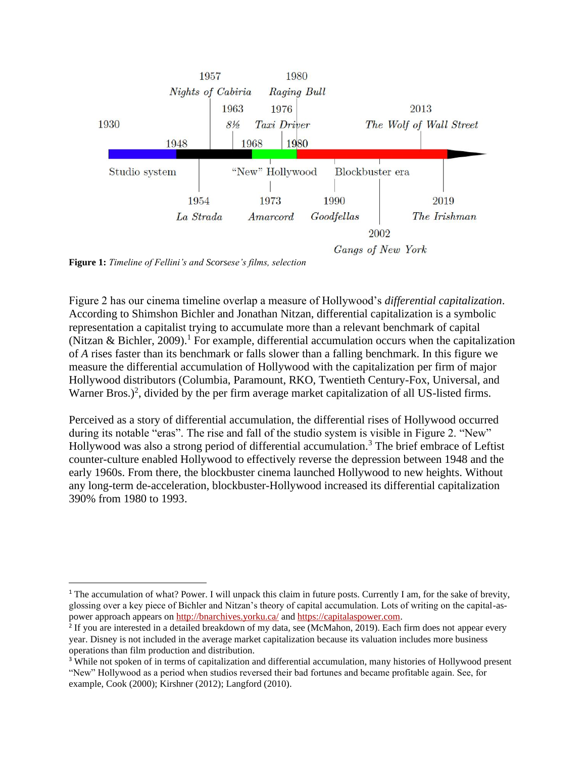

**Figure 1:** *Timeline of Fellini's and Scorsese's films, selection*

Figure 2 has our cinema timeline overlap a measure of Hollywood's *differential capitalization*. According to Shimshon Bichler and Jonathan Nitzan, differential capitalization is a symbolic representation a capitalist trying to accumulate more than a relevant benchmark of capital (Nitzan & Bichler, 2009).<sup>1</sup> For example, differential accumulation occurs when the capitalization of *A* rises faster than its benchmark or falls slower than a falling benchmark. In this figure we measure the differential accumulation of Hollywood with the capitalization per firm of major Hollywood distributors (Columbia, Paramount, RKO, Twentieth Century-Fox, Universal, and Warner Bros.)<sup>2</sup>, divided by the per firm average market capitalization of all US-listed firms.

Perceived as a story of differential accumulation, the differential rises of Hollywood occurred during its notable "eras". The rise and fall of the studio system is visible in Figure 2. "New" Hollywood was also a strong period of differential accumulation.<sup>3</sup> The brief embrace of Leftist counter-culture enabled Hollywood to effectively reverse the depression between 1948 and the early 1960s. From there, the blockbuster cinema launched Hollywood to new heights. Without any long-term de-acceleration, blockbuster-Hollywood increased its differential capitalization 390% from 1980 to 1993.

<sup>&</sup>lt;sup>1</sup> The accumulation of what? Power. I will unpack this claim in future posts. Currently I am, for the sake of brevity, glossing over a key piece of Bichler and Nitzan's theory of capital accumulation. Lots of writing on the capital-aspower approach appears on <http://bnarchives.yorku.ca/> and [https://capitalaspower.com.](https://capitalaspower.com/)

<sup>&</sup>lt;sup>2</sup> If you are interested in a detailed breakdown of my data, see (McMahon, 2019). Each firm does not appear every year. Disney is not included in the average market capitalization because its valuation includes more business operations than film production and distribution.

<sup>&</sup>lt;sup>3</sup> While not spoken of in terms of capitalization and differential accumulation, many histories of Hollywood present "New" Hollywood as a period when studios reversed their bad fortunes and became profitable again. See, for example, Cook (2000); Kirshner (2012); Langford (2010).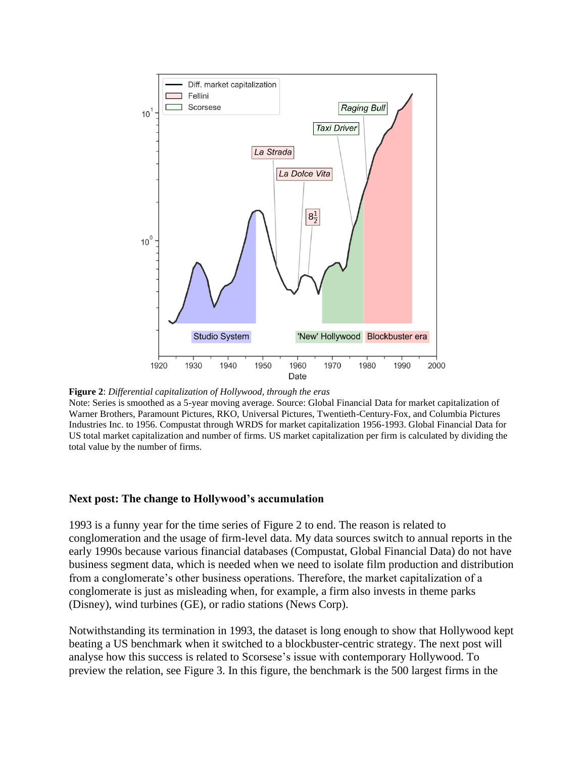

**Figure 2**: *Differential capitalization of Hollywood, through the eras*

Note: Series is smoothed as a 5-year moving average. Source: Global Financial Data for market capitalization of Warner Brothers, Paramount Pictures, RKO, Universal Pictures, Twentieth-Century-Fox, and Columbia Pictures Industries Inc. to 1956. Compustat through WRDS for market capitalization 1956-1993. Global Financial Data for US total market capitalization and number of firms. US market capitalization per firm is calculated by dividing the total value by the number of firms.

#### **Next post: The change to Hollywood's accumulation**

1993 is a funny year for the time series of Figure 2 to end. The reason is related to conglomeration and the usage of firm-level data. My data sources switch to annual reports in the early 1990s because various financial databases (Compustat, Global Financial Data) do not have business segment data, which is needed when we need to isolate film production and distribution from a conglomerate's other business operations. Therefore, the market capitalization of a conglomerate is just as misleading when, for example, a firm also invests in theme parks (Disney), wind turbines (GE), or radio stations (News Corp).

Notwithstanding its termination in 1993, the dataset is long enough to show that Hollywood kept beating a US benchmark when it switched to a blockbuster-centric strategy. The next post will analyse how this success is related to Scorsese's issue with contemporary Hollywood. To preview the relation, see Figure 3. In this figure, the benchmark is the 500 largest firms in the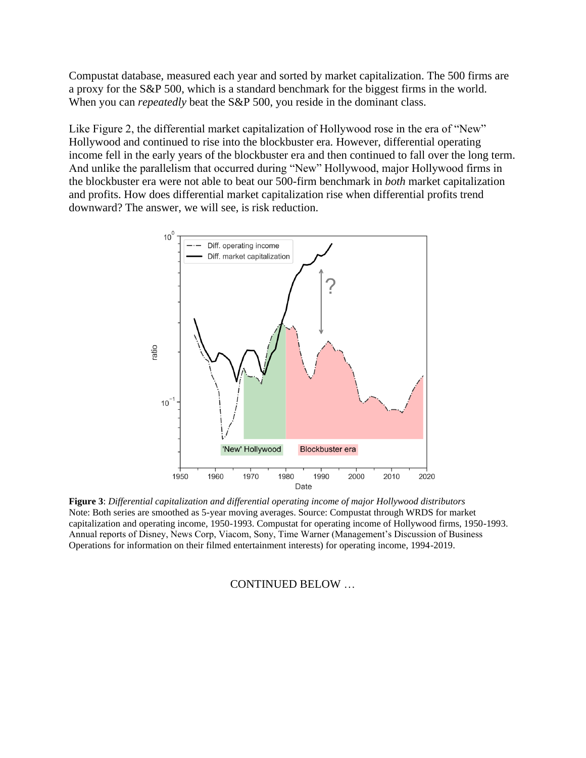Compustat database, measured each year and sorted by market capitalization. The 500 firms are a proxy for the S&P 500, which is a standard benchmark for the biggest firms in the world. When you can *repeatedly* beat the S&P 500, you reside in the dominant class.

Like Figure 2, the differential market capitalization of Hollywood rose in the era of "New" Hollywood and continued to rise into the blockbuster era. However, differential operating income fell in the early years of the blockbuster era and then continued to fall over the long term. And unlike the parallelism that occurred during "New" Hollywood, major Hollywood firms in the blockbuster era were not able to beat our 500-firm benchmark in *both* market capitalization and profits. How does differential market capitalization rise when differential profits trend downward? The answer, we will see, is risk reduction.



**Figure 3**: *Differential capitalization and differential operating income of major Hollywood distributors* Note: Both series are smoothed as 5-year moving averages. Source: Compustat through WRDS for market capitalization and operating income, 1950-1993. Compustat for operating income of Hollywood firms, 1950-1993. Annual reports of Disney, News Corp, Viacom, Sony, Time Warner (Management's Discussion of Business Operations for information on their filmed entertainment interests) for operating income, 1994-2019.

#### CONTINUED BELOW …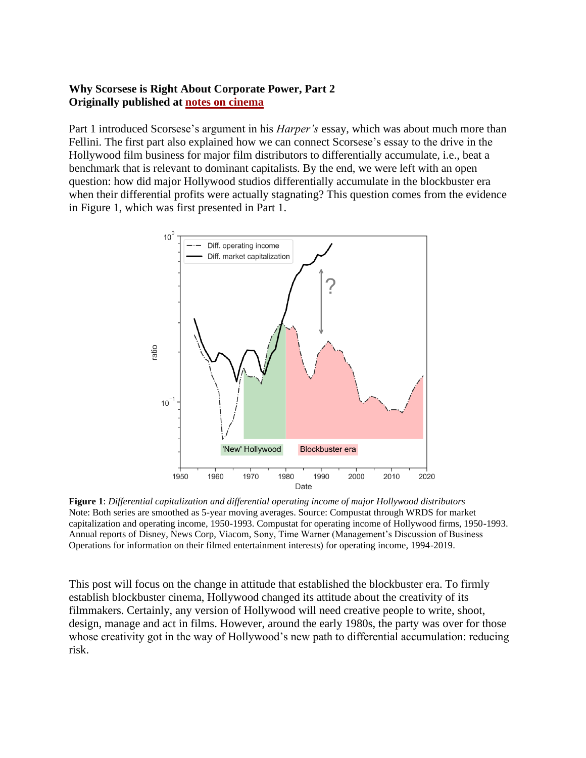### **Why Scorsese is Right About Corporate Power, Part 2 Originally published at [notes on cinema](https://notesoncinema.com/2021/07/12/why-scorcese-is-right-about-corporate-power-part-2/)**

Part 1 introduced Scorsese's argument in his *Harper's* essay, which was about much more than Fellini. The first part also explained how we can connect Scorsese's essay to the drive in the Hollywood film business for major film distributors to differentially accumulate, i.e., beat a benchmark that is relevant to dominant capitalists. By the end, we were left with an open question: how did major Hollywood studios differentially accumulate in the blockbuster era when their differential profits were actually stagnating? This question comes from the evidence in Figure 1, which was first presented in Part 1.



**Figure 1**: *Differential capitalization and differential operating income of major Hollywood distributors* Note: Both series are smoothed as 5-year moving averages. Source: Compustat through WRDS for market capitalization and operating income, 1950-1993. Compustat for operating income of Hollywood firms, 1950-1993. Annual reports of Disney, News Corp, Viacom, Sony, Time Warner (Management's Discussion of Business Operations for information on their filmed entertainment interests) for operating income, 1994-2019.

This post will focus on the change in attitude that established the blockbuster era. To firmly establish blockbuster cinema, Hollywood changed its attitude about the creativity of its filmmakers. Certainly, any version of Hollywood will need creative people to write, shoot, design, manage and act in films. However, around the early 1980s, the party was over for those whose creativity got in the way of Hollywood's new path to differential accumulation: reducing risk.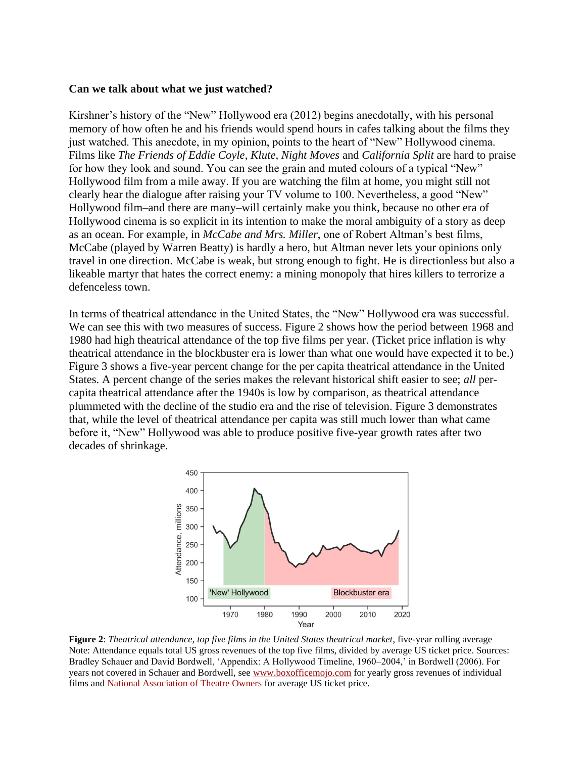#### **Can we talk about what we just watched?**

Kirshner's history of the "New" Hollywood era (2012) begins anecdotally, with his personal memory of how often he and his friends would spend hours in cafes talking about the films they just watched. This anecdote, in my opinion, points to the heart of "New" Hollywood cinema. Films like *The Friends of Eddie Coyle*, *Klute*, *Night Moves* and *California Split* are hard to praise for how they look and sound. You can see the grain and muted colours of a typical "New" Hollywood film from a mile away. If you are watching the film at home, you might still not clearly hear the dialogue after raising your TV volume to 100. Nevertheless, a good "New" Hollywood film–and there are many–will certainly make you think, because no other era of Hollywood cinema is so explicit in its intention to make the moral ambiguity of a story as deep as an ocean. For example, in *McCabe and Mrs. Miller*, one of Robert Altman's best films, McCabe (played by Warren Beatty) is hardly a hero, but Altman never lets your opinions only travel in one direction. McCabe is weak, but strong enough to fight. He is directionless but also a likeable martyr that hates the correct enemy: a mining monopoly that hires killers to terrorize a defenceless town.

In terms of theatrical attendance in the United States, the "New" Hollywood era was successful. We can see this with two measures of success. Figure 2 shows how the period between 1968 and 1980 had high theatrical attendance of the top five films per year. (Ticket price inflation is why theatrical attendance in the blockbuster era is lower than what one would have expected it to be.) Figure 3 shows a five-year percent change for the per capita theatrical attendance in the United States. A percent change of the series makes the relevant historical shift easier to see; *all* percapita theatrical attendance after the 1940s is low by comparison, as theatrical attendance plummeted with the decline of the studio era and the rise of television. Figure 3 demonstrates that, while the level of theatrical attendance per capita was still much lower than what came before it, "New" Hollywood was able to produce positive five-year growth rates after two decades of shrinkage.



**Figure 2**: *Theatrical attendance, top five films in the United States theatrical market*, five-year rolling average Note: Attendance equals total US gross revenues of the top five films, divided by average US ticket price. Sources: Bradley Schauer and David Bordwell, 'Appendix: A Hollywood Timeline, 1960–2004,' in Bordwell (2006). For years not covered in Schauer and Bordwell, see [www.boxofficemojo.com](http://www.boxofficemojo.com/) for yearly gross revenues of individual films and [National Association of Theatre Owners](http://www.natoonline.org/) for average US ticket price.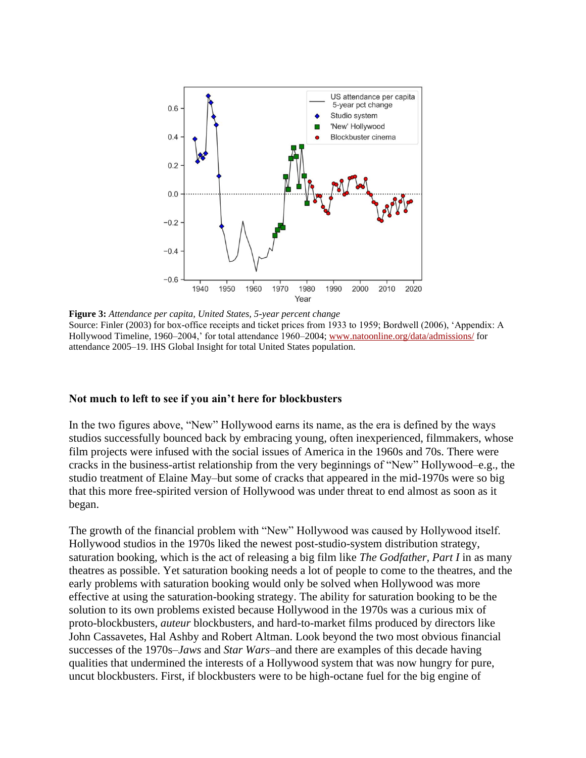

**Figure 3:** *Attendance per capita, United States, 5-year percent change* Source: Finler (2003) for box-office receipts and ticket prices from 1933 to 1959; Bordwell (2006), 'Appendix: A Hollywood Timeline, 1960–2004,' for total attendance 1960–2004; [www.natoonline.org/data/admissions/](http://www.natoonline.org/data/admissions/) for attendance 2005–19. IHS Global Insight for total United States population.

#### **Not much to left to see if you ain't here for blockbusters**

In the two figures above, "New" Hollywood earns its name, as the era is defined by the ways studios successfully bounced back by embracing young, often inexperienced, filmmakers, whose film projects were infused with the social issues of America in the 1960s and 70s. There were cracks in the business-artist relationship from the very beginnings of "New" Hollywood–e.g., the studio treatment of Elaine May–but some of cracks that appeared in the mid-1970s were so big that this more free-spirited version of Hollywood was under threat to end almost as soon as it began.

The growth of the financial problem with "New" Hollywood was caused by Hollywood itself. Hollywood studios in the 1970s liked the newest post-studio-system distribution strategy, saturation booking, which is the act of releasing a big film like *The Godfather, Part I* in as many theatres as possible. Yet saturation booking needs a lot of people to come to the theatres, and the early problems with saturation booking would only be solved when Hollywood was more effective at using the saturation-booking strategy. The ability for saturation booking to be the solution to its own problems existed because Hollywood in the 1970s was a curious mix of proto-blockbusters, *auteur* blockbusters, and hard-to-market films produced by directors like John Cassavetes, Hal Ashby and Robert Altman. Look beyond the two most obvious financial successes of the 1970s–*Jaws* and *Star Wars*–and there are examples of this decade having qualities that undermined the interests of a Hollywood system that was now hungry for pure, uncut blockbusters. First, if blockbusters were to be high-octane fuel for the big engine of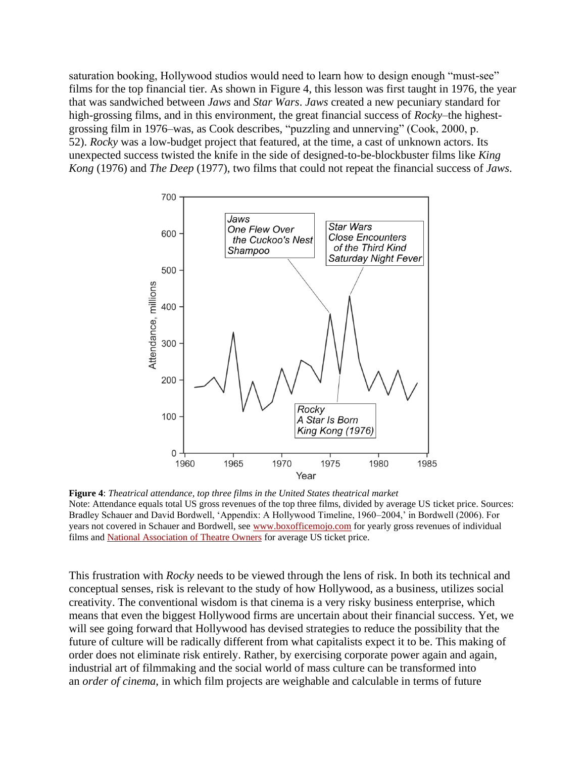saturation booking, Hollywood studios would need to learn how to design enough "must-see" films for the top financial tier. As shown in Figure 4, this lesson was first taught in 1976, the year that was sandwiched between *Jaws* and *Star Wars*. *Jaws* created a new pecuniary standard for high-grossing films, and in this environment, the great financial success of *Rocky*–the highestgrossing film in 1976–was, as Cook describes, "puzzling and unnerving" (Cook, 2000, p. 52). *Rocky* was a low-budget project that featured, at the time, a cast of unknown actors. Its unexpected success twisted the knife in the side of designed-to-be-blockbuster films like *King Kong* (1976) and *The Deep* (1977), two films that could not repeat the financial success of *Jaws*.



**Figure 4**: *Theatrical attendance, top three films in the United States theatrical market* Note: Attendance equals total US gross revenues of the top three films, divided by average US ticket price. Sources: Bradley Schauer and David Bordwell, 'Appendix: A Hollywood Timeline, 1960–2004,' in Bordwell (2006). For years not covered in Schauer and Bordwell, see [www.boxofficemojo.com](http://www.boxofficemojo.com/) for yearly gross revenues of individual films and [National Association of Theatre Owners](http://www.natoonline.org/) for average US ticket price.

This frustration with *Rocky* needs to be viewed through the lens of risk. In both its technical and conceptual senses, risk is relevant to the study of how Hollywood, as a business, utilizes social creativity. The conventional wisdom is that cinema is a very risky business enterprise, which means that even the biggest Hollywood firms are uncertain about their financial success. Yet, we will see going forward that Hollywood has devised strategies to reduce the possibility that the future of culture will be radically different from what capitalists expect it to be. This making of order does not eliminate risk entirely. Rather, by exercising corporate power again and again, industrial art of filmmaking and the social world of mass culture can be transformed into an *order of cinema*, in which film projects are weighable and calculable in terms of future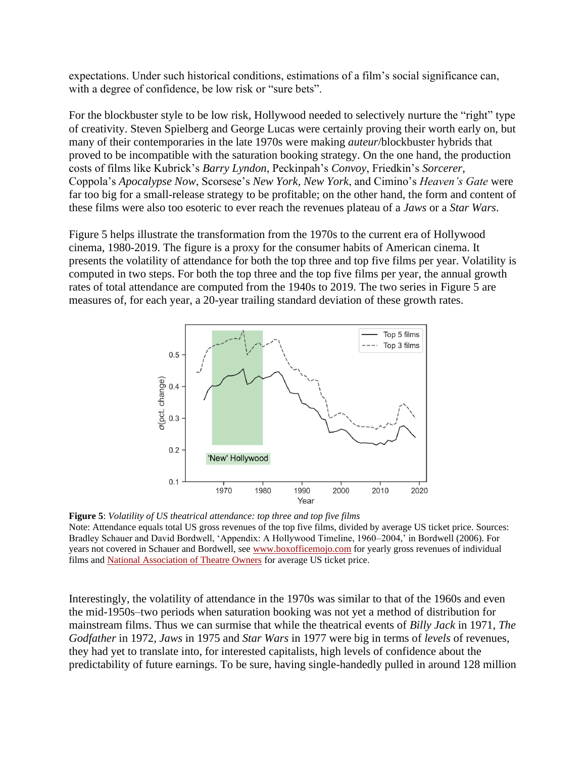expectations. Under such historical conditions, estimations of a film's social significance can, with a degree of confidence, be low risk or "sure bets".

For the blockbuster style to be low risk, Hollywood needed to selectively nurture the "right" type of creativity. Steven Spielberg and George Lucas were certainly proving their worth early on, but many of their contemporaries in the late 1970s were making *auteur*/blockbuster hybrids that proved to be incompatible with the saturation booking strategy. On the one hand, the production costs of films like Kubrick's *Barry Lyndon*, Peckinpah's *Convoy*, Friedkin's *Sorcerer*, Coppola's *Apocalypse Now*, Scorsese's *New York, New York*, and Cimino's *Heaven's Gate* were far too big for a small-release strategy to be profitable; on the other hand, the form and content of these films were also too esoteric to ever reach the revenues plateau of a *Jaws* or a *Star Wars*.

Figure 5 helps illustrate the transformation from the 1970s to the current era of Hollywood cinema, 1980-2019. The figure is a proxy for the consumer habits of American cinema. It presents the volatility of attendance for both the top three and top five films per year. Volatility is computed in two steps. For both the top three and the top five films per year, the annual growth rates of total attendance are computed from the 1940s to 2019. The two series in Figure 5 are measures of, for each year, a 20-year trailing standard deviation of these growth rates.



**Figure 5**: *Volatility of US theatrical attendance: top three and top five films* Note: Attendance equals total US gross revenues of the top five films, divided by average US ticket price. Sources: Bradley Schauer and David Bordwell, 'Appendix: A Hollywood Timeline, 1960–2004,' in Bordwell (2006). For years not covered in Schauer and Bordwell, see [www.boxofficemojo.com](http://www.boxofficemojo.com/) for yearly gross revenues of individual films and [National Association of Theatre Owners](http://www.natoonline.org/) for average US ticket price.

Interestingly, the volatility of attendance in the 1970s was similar to that of the 1960s and even the mid-1950s–two periods when saturation booking was not yet a method of distribution for mainstream films. Thus we can surmise that while the theatrical events of *Billy Jack* in 1971, *The Godfather* in 1972, *Jaws* in 1975 and *Star Wars* in 1977 were big in terms of *levels* of revenues, they had yet to translate into, for interested capitalists, high levels of confidence about the predictability of future earnings. To be sure, having single-handedly pulled in around 128 million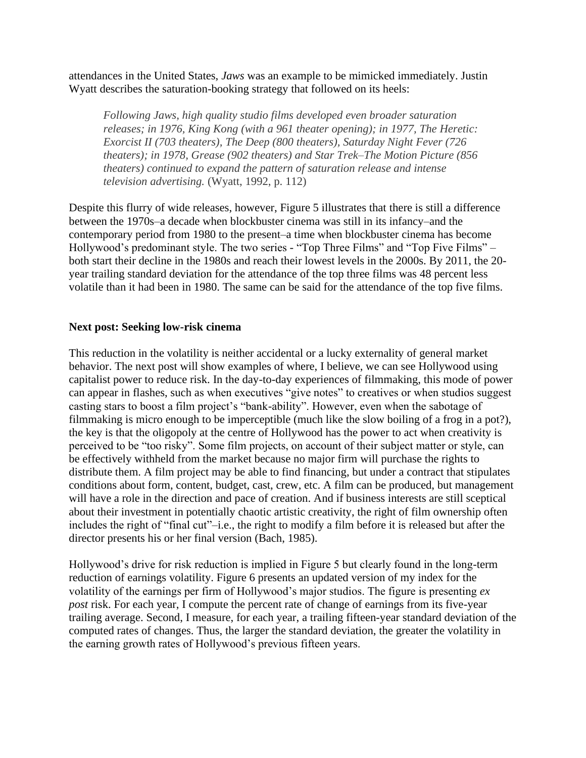attendances in the United States, *Jaws* was an example to be mimicked immediately. Justin Wyatt describes the saturation-booking strategy that followed on its heels:

*Following Jaws, high quality studio films developed even broader saturation releases; in 1976, King Kong (with a 961 theater opening); in 1977, The Heretic: Exorcist II (703 theaters), The Deep (800 theaters), Saturday Night Fever (726 theaters); in 1978, Grease (902 theaters) and Star Trek–The Motion Picture (856 theaters) continued to expand the pattern of saturation release and intense television advertising.* (Wyatt, 1992, p. 112)

Despite this flurry of wide releases, however, Figure 5 illustrates that there is still a difference between the 1970s–a decade when blockbuster cinema was still in its infancy–and the contemporary period from 1980 to the present–a time when blockbuster cinema has become Hollywood's predominant style. The two series - "Top Three Films" and "Top Five Films" – both start their decline in the 1980s and reach their lowest levels in the 2000s. By 2011, the 20 year trailing standard deviation for the attendance of the top three films was 48 percent less volatile than it had been in 1980. The same can be said for the attendance of the top five films.

#### **Next post: Seeking low-risk cinema**

This reduction in the volatility is neither accidental or a lucky externality of general market behavior. The next post will show examples of where, I believe, we can see Hollywood using capitalist power to reduce risk. In the day-to-day experiences of filmmaking, this mode of power can appear in flashes, such as when executives "give notes" to creatives or when studios suggest casting stars to boost a film project's "bank-ability". However, even when the sabotage of filmmaking is micro enough to be imperceptible (much like the slow boiling of a frog in a pot?), the key is that the oligopoly at the centre of Hollywood has the power to act when creativity is perceived to be "too risky". Some film projects, on account of their subject matter or style, can be effectively withheld from the market because no major firm will purchase the rights to distribute them. A film project may be able to find financing, but under a contract that stipulates conditions about form, content, budget, cast, crew, etc. A film can be produced, but management will have a role in the direction and pace of creation. And if business interests are still sceptical about their investment in potentially chaotic artistic creativity, the right of film ownership often includes the right of "final cut"–i.e., the right to modify a film before it is released but after the director presents his or her final version (Bach, 1985).

Hollywood's drive for risk reduction is implied in Figure 5 but clearly found in the long-term reduction of earnings volatility. Figure 6 presents an updated version of my index for the volatility of the earnings per firm of Hollywood's major studios. The figure is presenting *ex post* risk. For each year, I compute the percent rate of change of earnings from its five-year trailing average. Second, I measure, for each year, a trailing fifteen-year standard deviation of the computed rates of changes. Thus, the larger the standard deviation, the greater the volatility in the earning growth rates of Hollywood's previous fifteen years.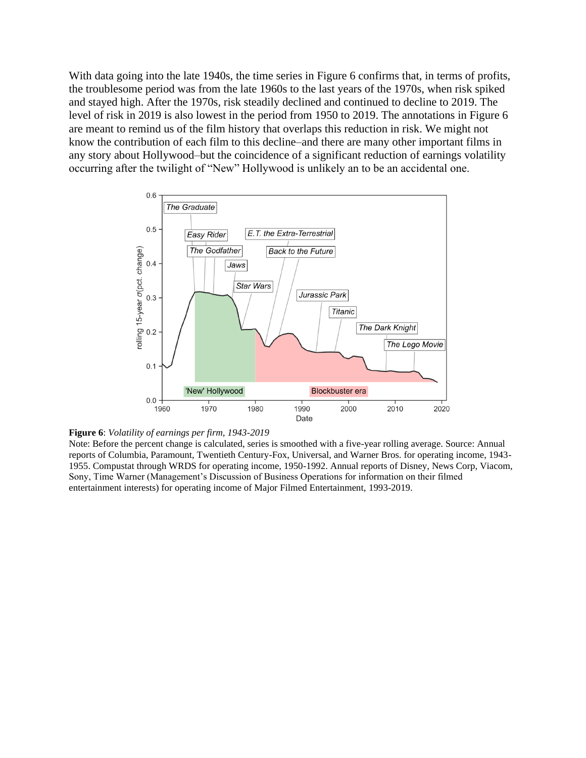With data going into the late 1940s, the time series in Figure 6 confirms that, in terms of profits, the troublesome period was from the late 1960s to the last years of the 1970s, when risk spiked and stayed high. After the 1970s, risk steadily declined and continued to decline to 2019. The level of risk in 2019 is also lowest in the period from 1950 to 2019. The annotations in Figure 6 are meant to remind us of the film history that overlaps this reduction in risk. We might not know the contribution of each film to this decline–and there are many other important films in any story about Hollywood–but the coincidence of a significant reduction of earnings volatility occurring after the twilight of "New" Hollywood is unlikely an to be an accidental one.





Note: Before the percent change is calculated, series is smoothed with a five-year rolling average. Source: Annual reports of Columbia, Paramount, Twentieth Century-Fox, Universal, and Warner Bros. for operating income, 1943- 1955. Compustat through WRDS for operating income, 1950-1992. Annual reports of Disney, News Corp, Viacom, Sony, Time Warner (Management's Discussion of Business Operations for information on their filmed entertainment interests) for operating income of Major Filmed Entertainment, 1993-2019.